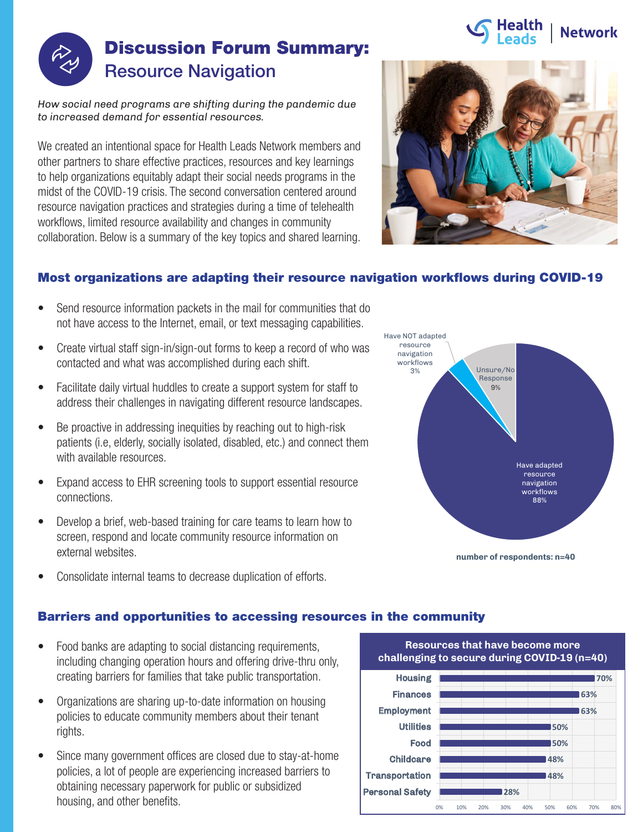# **Network**



## Discussion Forum Summary: Resource Navigation

*How social need programs are shifting during the pandemic due to increased demand for essential resources.*

We created an intentional space for Health Leads Network members and other partners to share effective practices, resources and key learnings to help organizations equitably adapt their social needs programs in the midst of the COVID-19 crisis. The second conversation centered around resource navigation practices and strategies during a time of telehealth workflows, limited resource availability and changes in community collaboration. Below is a summary of the key topics and shared learning.



### Most organizations are adapting their resource navigation workflows during COVID-19

- Send resource information packets in the mail for communities that do not have access to the Internet, email, or text messaging capabilities.
- Create virtual staff sign-in/sign-out forms to keep a record of who was contacted and what was accomplished during each shift.
- Facilitate daily virtual huddles to create a support system for staff to address their challenges in navigating different resource landscapes.
- Be proactive in addressing inequities by reaching out to high-risk patients (i.e, elderly, socially isolated, disabled, etc.) and connect them with available resources.
- Expand access to EHR screening tools to support essential resource connections.
- Develop a brief, web-based training for care teams to learn how to screen, respond and locate community resource information on external websites.



• Consolidate internal teams to decrease duplication of efforts.

#### Barriers and opportunities to accessing resources in the community

- Food banks are adapting to social distancing requirements, including changing operation hours and offering drive-thru only, creating barriers for families that take public transportation.
- Organizations are sharing up-to-date information on housing policies to educate community members about their tenant rights.
- Since many government offices are closed due to stay-at-home policies, a lot of people are experiencing increased barriers to obtaining necessary paperwork for public or subsidized housing, and other benefits.



Resources that have become more challenging **Resources that have become more**  to secure during COVID-19 (n=40) **challenging to secure during COVID-19 (n=40)**